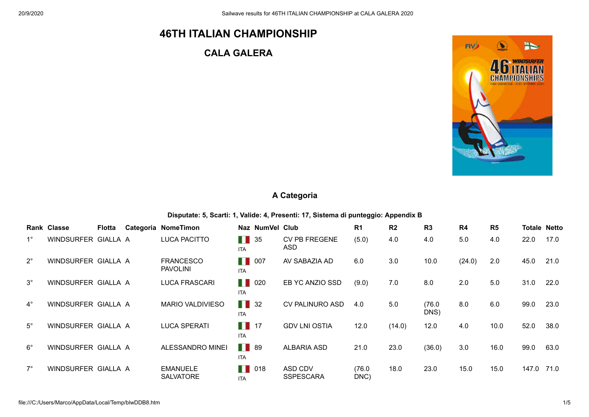# **46TH ITALIAN CHAMPIONSHIP**

## **CALA GALERA**



#### **A Categoria**

**Disputate: 5, Scarti: 1, Valide: 4, Presenti: 17, Sistema di punteggio: Appendix B**

|             | Rank Classe         | <b>Flotta</b> | Categoria NomeTimon                 |                                 | Naz NumVel Club             | R <sub>1</sub> | R <sub>2</sub> | R <sub>3</sub> | R4     | R <sub>5</sub> |       | <b>Totale Netto</b> |
|-------------|---------------------|---------------|-------------------------------------|---------------------------------|-----------------------------|----------------|----------------|----------------|--------|----------------|-------|---------------------|
| $1^{\circ}$ | WINDSURFER GIALLA A |               | <b>LUCA PACITTO</b>                 | H<br>35<br><b>ITA</b>           | <b>CV PB FREGENE</b><br>ASD | (5.0)          | 4.0            | 4.0            | 5.0    | 4.0            | 22.0  | 17.0                |
| $2^{\circ}$ | WINDSURFER GIALLA A |               | <b>FRANCESCO</b><br><b>PAVOLINI</b> | H<br>007<br><b>ITA</b>          | AV SABAZIA AD               | 6.0            | 3.0            | 10.0           | (24.0) | 2.0            | 45.0  | 21.0                |
| $3^\circ$   | WINDSURFER GIALLA A |               | <b>LUCA FRASCARI</b>                | H<br>020<br><b>ITA</b>          | EB YC ANZIO SSD             | (9.0)          | 7.0            | 8.0            | 2.0    | 5.0            | 31.0  | 22.0                |
| $4^\circ$   | WINDSURFER GIALLA A |               | <b>MARIO VALDIVIESO</b>             | H<br>32<br><b>ITA</b>           | <b>CV PALINURO ASD</b>      | 4.0            | 5.0            | (76.0<br>DNS)  | 8.0    | 6.0            | 99.0  | 23.0                |
| $5^{\circ}$ | WINDSURFER GIALLA A |               | <b>LUCA SPERATI</b>                 | $\blacksquare$ 17<br><b>ITA</b> | <b>GDV LNI OSTIA</b>        | 12.0           | (14.0)         | 12.0           | 4.0    | 10.0           | 52.0  | 38.0                |
| $6^{\circ}$ | WINDSURFER GIALLA A |               | ALESSANDRO MINEI                    | . .<br>89<br><b>ITA</b>         | <b>ALBARIA ASD</b>          | 21.0           | 23.0           | (36.0)         | 3.0    | 16.0           | 99.0  | 63.0                |
| $7^{\circ}$ | WINDSURFER GIALLA A |               | <b>EMANUELE</b><br><b>SALVATORE</b> | H<br>018<br><b>ITA</b>          | ASD CDV<br><b>SSPESCARA</b> | (76.0)<br>DNC  | 18.0           | 23.0           | 15.0   | 15.0           | 147.0 | 71.0                |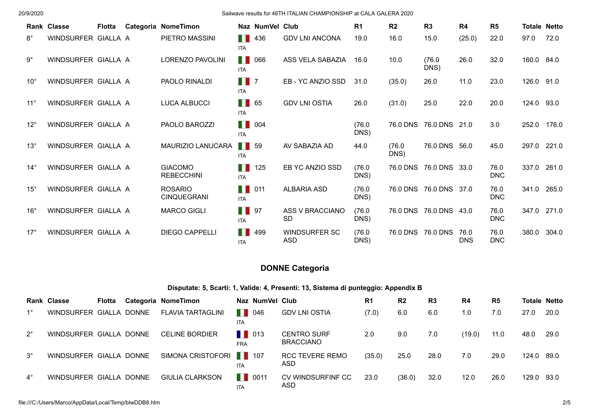|              | <b>Rank Classe</b>  | <b>Flotta</b> | Categoria NomeTimon                  |                                  | Naz NumVel Club    |                                    | R <sub>1</sub> | R <sub>2</sub> | R3                     | R4                 | R <sub>5</sub>     | <b>Totale Netto</b> |       |
|--------------|---------------------|---------------|--------------------------------------|----------------------------------|--------------------|------------------------------------|----------------|----------------|------------------------|--------------------|--------------------|---------------------|-------|
| $8^{\circ}$  | WINDSURFER GIALLA A |               | PIETRO MASSINI                       | H<br><b>ITA</b>                  | 436                | <b>GDV LNI ANCONA</b>              | 19.0           | 16.0           | 15.0                   | (25.0)             | 22.0               | 97.0                | 72.0  |
| $9^{\circ}$  | WINDSURFER GIALLA A |               | LORENZO PAVOLINI                     | <b>ITA</b>                       | <b>11</b> 066      | ASS VELA SABAZIA                   | 16.0           | 10.0           | (76.0)<br>DNS)         | 26.0               | 32.0               | 160.0 84.0          |       |
| $10^{\circ}$ | WINDSURFER GIALLA A |               | PAOLO RINALDI                        | $\blacksquare$ 7<br><b>ITA</b>   |                    | EB-YC ANZIO SSD                    | 31.0           | (35.0)         | 26.0                   | 11.0               | 23.0               | 126.0 91.0          |       |
| $11^{\circ}$ | WINDSURFER GIALLA A |               | <b>LUCA ALBUCCI</b>                  | $\blacksquare$ 65<br><b>ITA</b>  |                    | <b>GDV LNI OSTIA</b>               | 26.0           | (31.0)         | 25.0                   | 22.0               | 20.0               | 124.0 93.0          |       |
| $12^{\circ}$ | WINDSURFER GIALLA A |               | PAOLO BAROZZI                        | <b>ITA</b>                       | $\blacksquare$ 004 |                                    | (76.0)<br>DNS) | 76.0 DNS       | 76.0 DNS               | 21.0               | 3.0                | 252.0               | 176.0 |
| $13^{\circ}$ | WINDSURFER GIALLA A |               | MAURIZIO LANUCARA                    | $\blacksquare$ 59<br><b>ITA</b>  |                    | AV SABAZIA AD                      | 44.0           | (76.0)<br>DNS) | 76.0 DNS               | 56.0               | 45.0               | 297.0               | 221.0 |
| $14^{\circ}$ | WINDSURFER GIALLA A |               | <b>GIACOMO</b><br><b>REBECCHINI</b>  | H<br><b>ITA</b>                  | 125                | EB YC ANZIO SSD                    | (76.0)<br>DNS) | 76.0 DNS       | 76.0 DNS 33.0          |                    | 76.0<br><b>DNC</b> | 337.0               | 261.0 |
| $15^{\circ}$ | WINDSURFER GIALLA A |               | <b>ROSARIO</b><br><b>CINQUEGRANI</b> | $\blacksquare$ 011<br><b>ITA</b> |                    | <b>ALBARIA ASD</b>                 | (76.0)<br>DNS) |                | 76.0 DNS 76.0 DNS 37.0 |                    | 76.0<br><b>DNC</b> | 341.0               | 265.0 |
| $16^{\circ}$ | WINDSURFER GIALLA A |               | <b>MARCO GIGLI</b>                   | $\blacksquare$ 97<br><b>ITA</b>  |                    | ASS V BRACCIANO<br><b>SD</b>       | (76.0)<br>DNS) |                | 76.0 DNS 76.0 DNS 43.0 |                    | 76.0<br><b>DNC</b> | 347.0               | 271.0 |
| $17^{\circ}$ | WINDSURFER GIALLA A |               | <b>DIEGO CAPPELLI</b>                | H<br><b>ITA</b>                  | 499                | <b>WINDSURFER SC</b><br><b>ASD</b> | (76.0)<br>DNS) |                | 76.0 DNS 76.0 DNS      | 76.0<br><b>DNS</b> | 76.0<br><b>DNC</b> | 380.0               | 304.0 |

### **DONNE Categoria**

#### **Disputate: 5, Scarti: 1, Valide: 4, Presenti: 13, Sistema di punteggio: Appendix B**

|             | <b>Rank Classe</b>      | <b>Flotta</b> | Categoria NomeTimon      |                                   | Naz NumVel Club |                                        | R <sub>1</sub> | R <sub>2</sub> | R <sub>3</sub> | R <sub>4</sub> | R <sub>5</sub> | <b>Totale Netto</b> |      |
|-------------|-------------------------|---------------|--------------------------|-----------------------------------|-----------------|----------------------------------------|----------------|----------------|----------------|----------------|----------------|---------------------|------|
| $1^{\circ}$ | WINDSURFER GIALLA DONNE |               | <b>FLAVIA TARTAGLINI</b> | $\blacksquare$ 046<br>ITA.        |                 | <b>GDV LNI OSTIA</b>                   | (7.0)          | 6.0            | 6.0            | 1.0            | 7.0            | 27.0                | 20.0 |
| $2^{\circ}$ | WINDSURFER GIALLA DONNE |               | <b>CELINE BORDIER</b>    | $\blacksquare$ 013<br><b>FRA</b>  |                 | <b>CENTRO SURF</b><br><b>BRACCIANO</b> | 2.0            | 9.0            | 7.0            | (19.0)         | 11.0           | 48.0                | 29.0 |
| $3^\circ$   | WINDSURFER GIALLA DONNE |               | SIMONA CRISTOFORI   107  | <b>ITA</b>                        |                 | <b>RCC TEVERE REMO</b><br>ASD          | (35.0)         | 25.0           | 28.0           | 7.0            | 29.0           | 124.0 89.0          |      |
| $4^\circ$   | WINDSURFER GIALLA DONNE |               | <b>GIULIA CLARKSON</b>   | $\blacksquare$ 0011<br><b>ITA</b> |                 | CV WINDSURFINF CC<br>ASD               | 23.0           | (36.0)         | 32.0           | 12.0           | 26.0           | 129.0 93.0          |      |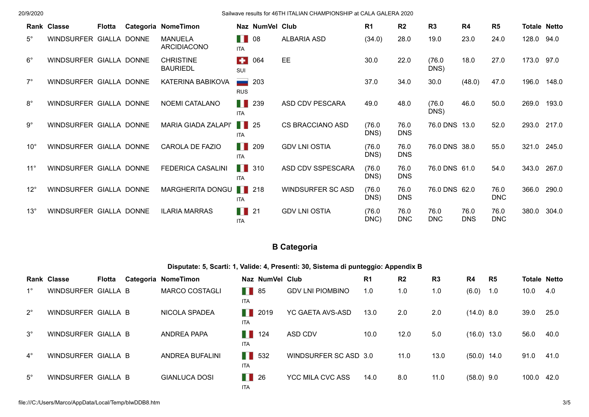|              | Rank Classe             | Flotta | Categoria NomeTimon                  |                                  | Naz NumVel Club |                          | R <sub>1</sub> | R <sub>2</sub>     | R <sub>3</sub>     | R4                 | R <sub>5</sub>     | <b>Totale Netto</b> |       |
|--------------|-------------------------|--------|--------------------------------------|----------------------------------|-----------------|--------------------------|----------------|--------------------|--------------------|--------------------|--------------------|---------------------|-------|
| $5^{\circ}$  | WINDSURFER GIALLA DONNE |        | <b>MANUELA</b><br><b>ARCIDIACONO</b> | . .<br><b>ITA</b>                | 08              | <b>ALBARIA ASD</b>       | (34.0)         | 28.0               | 19.0               | 23.0               | 24.0               | 128.0 94.0          |       |
| $6^{\circ}$  | WINDSURFER GIALLA DONNE |        | <b>CHRISTINE</b><br><b>BAURIEDL</b>  | $\bullet$<br>SUI                 | 064             | EE.                      | 30.0           | 22.0               | (76.0)<br>DNS)     | 18.0               | 27.0               | 173.0 97.0          |       |
| $7^\circ$    | WINDSURFER GIALLA DONNE |        | KATERINA BABIKOVA                    | ست<br><b>RUS</b>                 | 203             |                          | 37.0           | 34.0               | 30.0               | (48.0)             | 47.0               | 196.0               | 148.0 |
| $8^{\circ}$  | WINDSURFER GIALLA DONNE |        | <b>NOEMI CATALANO</b>                | H.<br><b>ITA</b>                 | 239             | ASD CDV PESCARA          | 49.0           | 48.0               | (76.0)<br>DNS)     | 46.0               | 50.0               | 269.0               | 193.0 |
| $9^{\circ}$  | WINDSURFER GIALLA DONNE |        | <b>MARIA GIADA ZALAPI'</b>           | $\blacksquare$ 25<br><b>ITA</b>  |                 | <b>CS BRACCIANO ASD</b>  | (76.0)<br>DNS) | 76.0<br><b>DNS</b> | 76.0 DNS 13.0      |                    | 52.0               | 293.0               | 217.0 |
| $10^{\circ}$ | WINDSURFER GIALLA DONNE |        | CAROLA DE FAZIO                      | H<br><b>ITA</b>                  | 209             | <b>GDV LNI OSTIA</b>     | (76.0)<br>DNS) | 76.0<br><b>DNS</b> | 76.0 DNS 38.0      |                    | 55.0               | 321.0               | 245.0 |
| $11^{\circ}$ | WINDSURFER GIALLA DONNE |        | <b>FEDERICA CASALINI</b>             | $\blacksquare$ 310<br><b>ITA</b> |                 | ASD CDV SSPESCARA        | (76.0)<br>DNS) | 76.0<br><b>DNS</b> | 76.0 DNS 61.0      |                    | 54.0               | 343.0               | 267.0 |
| $12^{\circ}$ | WINDSURFER GIALLA DONNE |        | MARGHERITA DONGU   218               | <b>ITA</b>                       |                 | <b>WINDSURFER SC ASD</b> | (76.0)<br>DNS) | 76.0<br><b>DNS</b> | 76.0 DNS 62.0      |                    | 76.0<br><b>DNC</b> | 366.0               | 290.0 |
| $13^\circ$   | WINDSURFER GIALLA DONNE |        | <b>ILARIA MARRAS</b>                 | $\blacksquare$ 21<br><b>ITA</b>  |                 | <b>GDV LNI OSTIA</b>     | (76.0)<br>DNC) | 76.0<br>DNC        | 76.0<br><b>DNC</b> | 76.0<br><b>DNS</b> | 76.0<br><b>DNC</b> | 380.0               | 304.0 |

## **B Categoria**

**Disputate: 5, Scarti: 1, Valide: 4, Presenti: 30, Sistema di punteggio: Appendix B**

|             | <b>Rank Classe</b>  | <b>Flotta</b> | Categoria NomeTimon    |                                  | Naz NumVel Club |                         | R <sub>1</sub> | R <sub>2</sub> | R3   | R <sub>4</sub> | R <sub>5</sub> | <b>Totale Netto</b> |      |
|-------------|---------------------|---------------|------------------------|----------------------------------|-----------------|-------------------------|----------------|----------------|------|----------------|----------------|---------------------|------|
| $1^{\circ}$ | WINDSURFER GIALLA B |               | <b>MARCO COSTAGLI</b>  | $\blacksquare$ 85<br><b>ITA</b>  |                 | <b>GDV LNI PIOMBINO</b> | 1.0            | 1.0            | 1.0  | (6.0)          | 1.0            | 10.0                | 4.0  |
| $2^{\circ}$ | WINDSURFER GIALLA B |               | NICOLA SPADEA          | . .<br><b>ITA</b>                | 2019            | YC GAETA AVS-ASD        | 13.0           | 2.0            | 2.0  | $(14.0)$ 8.0   |                | 39.0                | 25.0 |
| $3^\circ$   | WINDSURFER GIALLA B |               | ANDREA PAPA            | . .<br><b>ITA</b>                | 124             | ASD CDV                 | 10.0           | 12.0           | 5.0  | $(16.0)$ 13.0  |                | 56.0                | 40.0 |
| $4^{\circ}$ | WINDSURFER GIALLA B |               | <b>ANDREA BUFALINI</b> | $\blacksquare$ 532<br><b>ITA</b> |                 | WINDSURFER SC ASD 3.0   |                | 11.0           | 13.0 | $(50.0)$ 14.0  |                | 91.0                | 41.0 |
| $5^\circ$   | WINDSURFER GIALLA B |               | <b>GIANLUCA DOSI</b>   | $\blacksquare$ 26<br><b>ITA</b>  |                 | <b>YCC MILA CVC ASS</b> | 14.0           | 8.0            | 11.0 | $(58.0)$ 9.0   |                | 100.0 42.0          |      |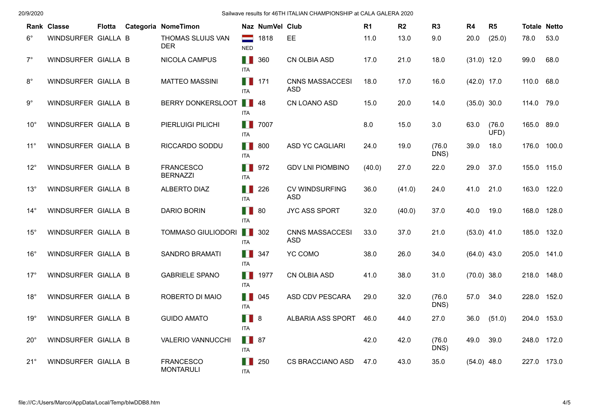|              | Rank Classe         | <b>Flotta</b> | Categoria NomeTimon                  |                            | Naz NumVel Club |                                      | R <sub>1</sub> | R <sub>2</sub> | R <sub>3</sub> | R4            | R <sub>5</sub> | <b>Totale Netto</b> |       |
|--------------|---------------------|---------------|--------------------------------------|----------------------------|-----------------|--------------------------------------|----------------|----------------|----------------|---------------|----------------|---------------------|-------|
| $6^{\circ}$  | WINDSURFER GIALLA B |               | THOMAS SLUIJS VAN<br><b>DER</b>      | =<br><b>NED</b>            | 1818            | EE                                   | 11.0           | 13.0           | 9.0            | 20.0          | (25.0)         | 78.0                | 53.0  |
| $7^\circ$    | WINDSURFER GIALLA B |               | <b>NICOLA CAMPUS</b>                 | H.<br><b>ITA</b>           | 360             | CN OLBIA ASD                         | 17.0           | 21.0           | 18.0           | $(31.0)$ 12.0 |                | 99.0                | 68.0  |
| $8^{\circ}$  | WINDSURFER GIALLA B |               | <b>MATTEO MASSINI</b>                | H I<br><b>ITA</b>          | 171             | <b>CNNS MASSACCESI</b><br><b>ASD</b> | 18.0           | 17.0           | 16.0           | $(42.0)$ 17.0 |                | 110.0               | 68.0  |
| $9^{\circ}$  | WINDSURFER GIALLA B |               | BERRY DONKERSLOOT                    | H<br>ITA                   | 48              | CN LOANO ASD                         | 15.0           | 20.0           | 14.0           | $(35.0)$ 30.0 |                | 114.0               | 79.0  |
| $10^{\circ}$ | WINDSURFER GIALLA B |               | PIERLUIGI PILICHI                    | H<br>ITA                   | 7007            |                                      | 8.0            | 15.0           | 3.0            | 63.0          | (76.0)<br>UFD) | 165.0               | 89.0  |
| $11^{\circ}$ | WINDSURFER GIALLA B |               | RICCARDO SODDU                       | H<br><b>ITA</b>            | 800             | <b>ASD YC CAGLIARI</b>               | 24.0           | 19.0           | (76.0)<br>DNS) | 39.0          | 18.0           | 176.0               | 100.0 |
| $12^{\circ}$ | WINDSURFER GIALLA B |               | <b>FRANCESCO</b><br><b>BERNAZZI</b>  | Ш<br><b>ITA</b>            | 972             | <b>GDV LNI PIOMBINO</b>              | (40.0)         | 27.0           | 22.0           | 29.0          | 37.0           | 155.0               | 115.0 |
| $13^{\circ}$ | WINDSURFER GIALLA B |               | <b>ALBERTO DIAZ</b>                  | H<br><b>ITA</b>            | 226             | <b>CV WINDSURFING</b><br><b>ASD</b>  | 36.0           | (41.0)         | 24.0           | 41.0          | 21.0           | 163.0               | 122.0 |
| $14^{\circ}$ | WINDSURFER GIALLA B |               | <b>DARIO BORIN</b>                   | H<br><b>ITA</b>            | 80              | <b>JYC ASS SPORT</b>                 | 32.0           | (40.0)         | 37.0           | 40.0          | 19.0           | 168.0               | 128.0 |
| $15^{\circ}$ | WINDSURFER GIALLA B |               | TOMMASO GIULIODORI                   | M<br><b>ITA</b>            | 302             | <b>CNNS MASSACCESI</b><br><b>ASD</b> | 33.0           | 37.0           | 21.0           | $(53.0)$ 41.0 |                | 185.0               | 132.0 |
| $16^{\circ}$ | WINDSURFER GIALLA B |               | <b>SANDRO BRAMATI</b>                | <b>THE R</b><br><b>ITA</b> | 347             | YC COMO                              | 38.0           | 26.0           | 34.0           | $(64.0)$ 43.0 |                | 205.0               | 141.0 |
| $17^{\circ}$ | WINDSURFER GIALLA B |               | <b>GABRIELE SPANO</b>                | H.<br><b>ITA</b>           | 1977            | CN OLBIA ASD                         | 41.0           | 38.0           | 31.0           | $(70.0)$ 38.0 |                | 218.0               | 148.0 |
| $18^\circ$   | WINDSURFER GIALLA B |               | ROBERTO DI MAIO                      | H.<br><b>ITA</b>           | 045             | ASD CDV PESCARA                      | 29.0           | 32.0           | (76.0)<br>DNS) | 57.0          | 34.0           | 228.0               | 152.0 |
| $19^{\circ}$ | WINDSURFER GIALLA B |               | <b>GUIDO AMATO</b>                   | H.<br><b>ITA</b>           | 8               | ALBARIA ASS SPORT                    | 46.0           | 44.0           | 27.0           | 36.0          | (51.0)         | 204.0               | 153.0 |
| $20^{\circ}$ | WINDSURFER GIALLA B |               | <b>VALERIO VANNUCCHI</b>             | H.<br><b>ITA</b>           | 87              |                                      | 42.0           | 42.0           | (76.0)<br>DNS) | 49.0          | 39.0           | 248.0 172.0         |       |
| $21^{\circ}$ | WINDSURFER GIALLA B |               | <b>FRANCESCO</b><br><b>MONTARULI</b> | <b>ITA</b>                 | 250             | <b>CS BRACCIANO ASD</b>              | 47.0           | 43.0           | 35.0           | $(54.0)$ 48.0 |                | 227.0               | 173.0 |